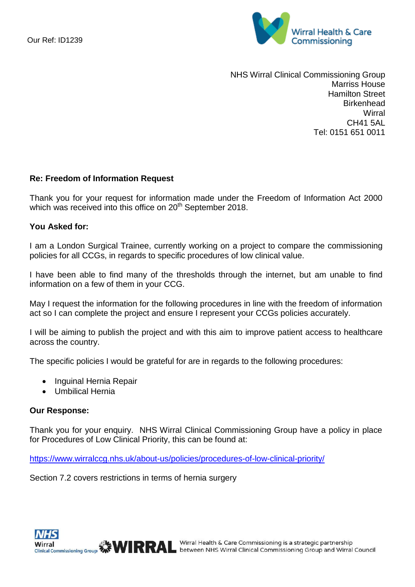

NHS Wirral Clinical Commissioning Group Marriss House Hamilton Street **Birkenhead Wirral** CH41 5AL Tel: 0151 651 0011

## **Re: Freedom of Information Request**

Thank you for your request for information made under the Freedom of Information Act 2000 which was received into this office on 20<sup>th</sup> September 2018.

## **You Asked for:**

I am a London Surgical Trainee, currently working on a project to compare the commissioning policies for all CCGs, in regards to specific procedures of low clinical value.

I have been able to find many of the thresholds through the internet, but am unable to find information on a few of them in your CCG.

May I request the information for the following procedures in line with the freedom of information act so I can complete the project and ensure I represent your CCGs policies accurately.

I will be aiming to publish the project and with this aim to improve patient access to healthcare across the country.

The specific policies I would be grateful for are in regards to the following procedures:

- Inguinal Hernia Repair
- Umbilical Hernia

## **Our Response:**

Thank you for your enquiry. NHS Wirral Clinical Commissioning Group have a policy in place for Procedures of Low Clinical Priority, this can be found at:

<https://www.wirralccg.nhs.uk/about-us/policies/procedures-of-low-clinical-priority/>

Section 7.2 covers restrictions in terms of hernia surgery